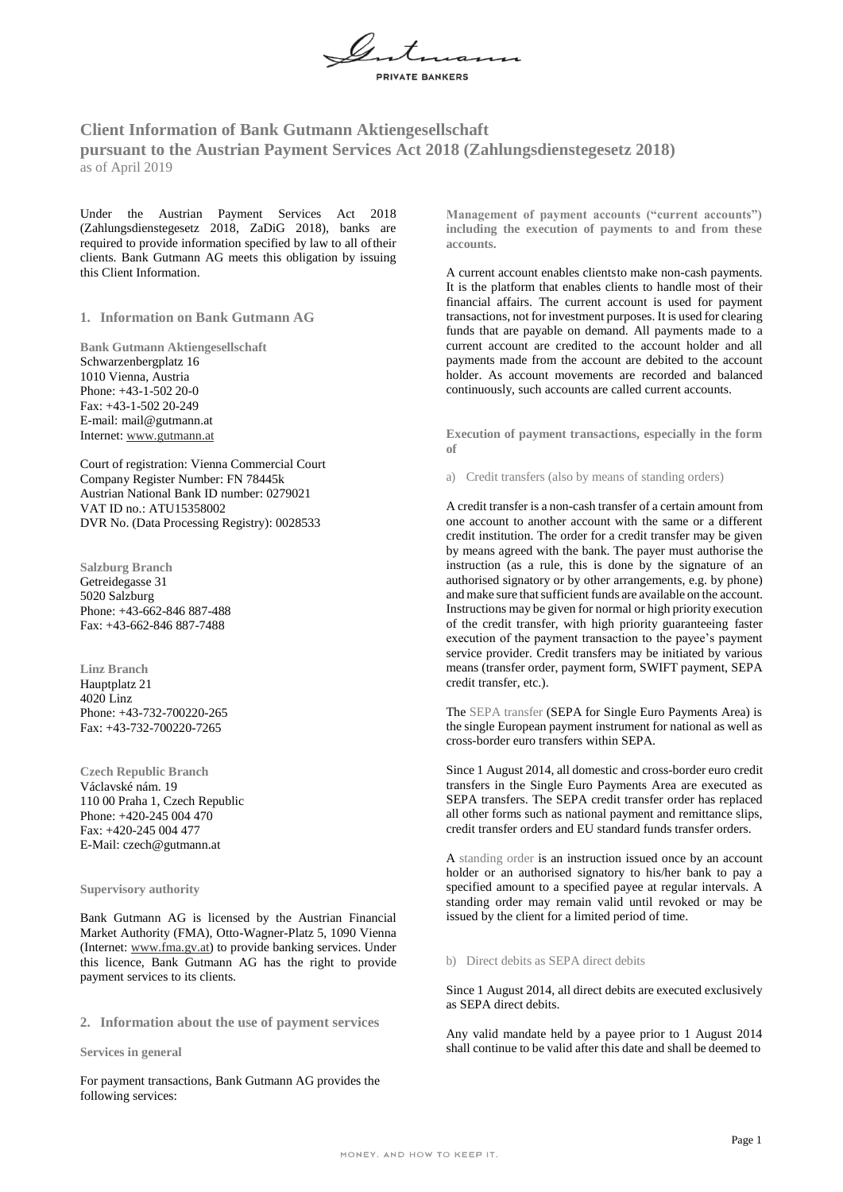

# **Client Information of Bank Gutmann Aktiengesellschaft pursuant to the Austrian Payment Services Act 2018 (Zahlungsdienstegesetz 2018)** as of April 2019

Under the Austrian Payment Services Act 2018 (Zahlungsdienstegesetz 2018, ZaDiG 2018), banks are required to provide information specified by law to all oftheir clients. Bank Gutmann AG meets this obligation by issuing this Client Information.

**1. Information on Bank Gutmann AG**

**Bank Gutmann Aktiengesellschaft** Schwarzenbergplatz 16 1010 Vienna, Austria Phone: +43-1-502 20-0 Fax: +43-1-502 20-249 E-mail: [mail@gutmann.at](mailto:mail@gutmann.at) Internet[: www.gutmann.at](http://www.gutmann.at/)

Court of registration: Vienna Commercial Court Company Register Number: FN 78445k Austrian National Bank ID number: 0279021 VAT ID no.: ATU15358002 DVR No. (Data Processing Registry): 0028533

**Salzburg Branch** Getreidegasse 31 5020 Salzburg Phone: +43-662-846 887-488 Fax: +43-662-846 887-7488

**Linz Branch** Hauptplatz 21 4020 Linz Phone: +43-732-700220-265 Fax: +43-732-700220-7265

**Czech Republic Branch** Václavské nám. 19 110 00 Praha 1, Czech Republic Phone: +420-245 004 470 Fax: +420-245 004 477 E-Mail: [czech@gutmann.at](mailto:czech@gutmann.at)

#### **Supervisory authority**

Bank Gutmann AG is licensed by the Austrian Financial Market Authority (FMA), Otto-Wagner-Platz 5, 1090 Vienna (Internet[: www.fma.gv.at\) t](http://www.fma.gv.at/)o provide banking services. Under this licence, Bank Gutmann AG has the right to provide payment services to its clients.

**2. Information about the use of payment services**

#### **Services in general**

For payment transactions, Bank Gutmann AG provides the following services:

**Management of payment accounts ("current accounts") including the execution of payments to and from these accounts.**

A current account enables clientsto make non-cash payments. It is the platform that enables clients to handle most of their financial affairs. The current account is used for payment transactions, not for investment purposes. It is used for clearing funds that are payable on demand. All payments made to a current account are credited to the account holder and all payments made from the account are debited to the account holder. As account movements are recorded and balanced continuously, such accounts are called current accounts.

**Execution of payment transactions, especially in the form of**

a) Credit transfers (also by means of standing orders)

A credit transfer is a non-cash transfer of a certain amount from one account to another account with the same or a different credit institution. The order for a credit transfer may be given by means agreed with the bank. The payer must authorise the instruction (as a rule, this is done by the signature of an authorised signatory or by other arrangements, e.g. by phone) and make sure that sufficient funds are available on the account. Instructions may be given for normal or high priority execution of the credit transfer, with high priority guaranteeing faster execution of the payment transaction to the payee's payment service provider. Credit transfers may be initiated by various means (transfer order, payment form, SWIFT payment, SEPA credit transfer, etc.).

The SEPA transfer (SEPA for Single Euro Payments Area) is the single European payment instrument for national as well as cross-border euro transfers within SEPA.

Since 1 August 2014, all domestic and cross-border euro credit transfers in the Single Euro Payments Area are executed as SEPA transfers. The SEPA credit transfer order has replaced all other forms such as national payment and remittance slips, credit transfer orders and EU standard funds transfer orders.

A standing order is an instruction issued once by an account holder or an authorised signatory to his/her bank to pay a specified amount to a specified payee at regular intervals. A standing order may remain valid until revoked or may be issued by the client for a limited period of time.

#### b) Direct debits as SEPA direct debits

Since 1 August 2014, all direct debits are executed exclusively as SEPA direct debits.

Any valid mandate held by a payee prior to 1 August 2014 shall continue to be valid after this date and shall be deemed to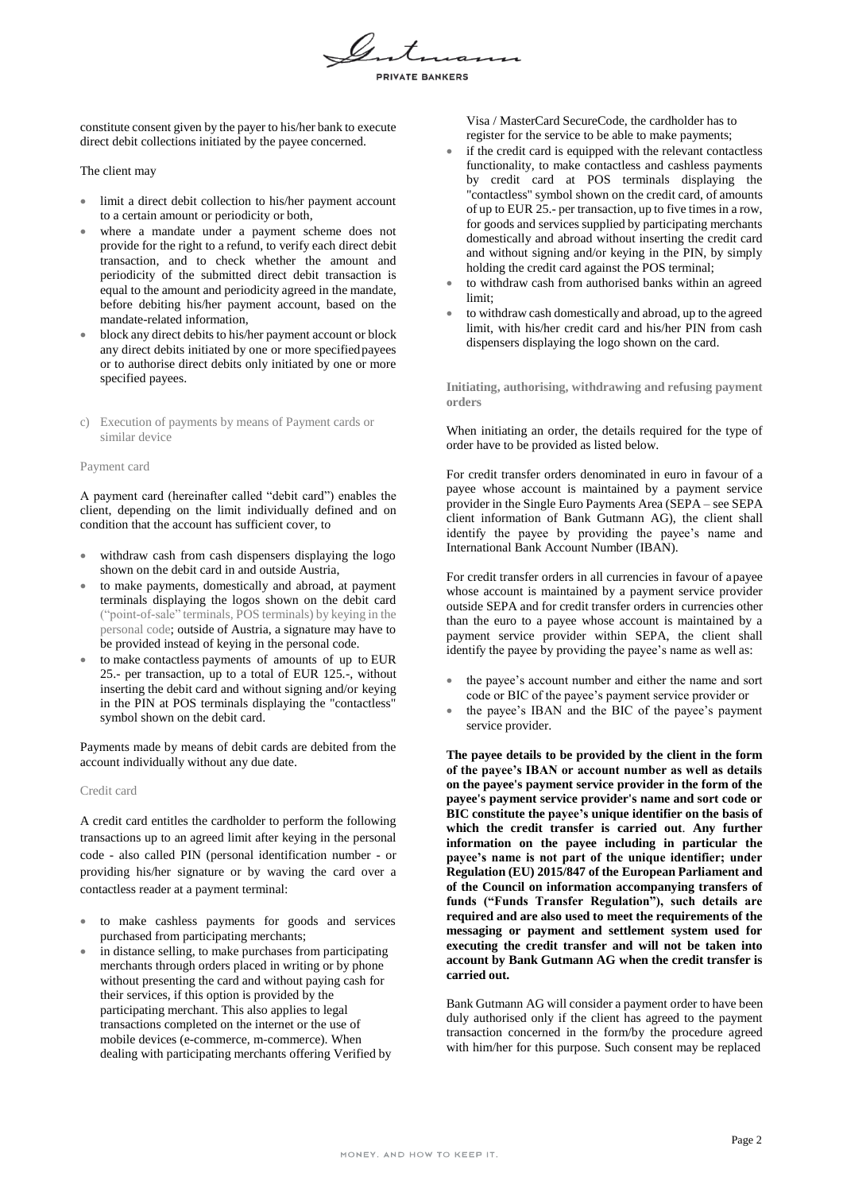

constitute consent given by the payer to his/her bank to execute direct debit collections initiated by the payee concerned.

The client may

- limit a direct debit collection to his/her payment account to a certain amount or periodicity or both,
- where a mandate under a payment scheme does not provide for the right to a refund, to verify each direct debit transaction, and to check whether the amount and periodicity of the submitted direct debit transaction is equal to the amount and periodicity agreed in the mandate, before debiting his/her payment account, based on the mandate-related information,
- block any direct debits to his/her payment account or block any direct debits initiated by one or more specifiedpayees or to authorise direct debits only initiated by one or more specified payees.
- c) Execution of payments by means of Payment cards or similar device

#### Payment card

A payment card (hereinafter called "debit card") enables the client, depending on the limit individually defined and on condition that the account has sufficient cover, to

- withdraw cash from cash dispensers displaying the logo shown on the debit card in and outside Austria,
- to make payments, domestically and abroad, at payment terminals displaying the logos shown on the debit card ("point-of-sale" terminals, POS terminals) by keying in the personal code; outside of Austria, a signature may have to be provided instead of keying in the personal code.
- to make contactless payments of amounts of up to EUR 25.- per transaction, up to a total of EUR 125.-, without inserting the debit card and without signing and/or keying in the PIN at POS terminals displaying the "contactless" symbol shown on the debit card.

Payments made by means of debit cards are debited from the account individually without any due date.

# Credit card

A credit card entitles the cardholder to perform the following transactions up to an agreed limit after keying in the personal code - also called PIN (personal identification number - or providing his/her signature or by waving the card over a contactless reader at a payment terminal:

- to make cashless payments for goods and services purchased from participating merchants;
- in distance selling, to make purchases from participating merchants through orders placed in writing or by phone without presenting the card and without paying cash for their services, if this option is provided by the participating merchant. This also applies to legal transactions completed on the internet or the use of mobile devices (e-commerce, m-commerce). When dealing with participating merchants offering Verified by

Visa / MasterCard SecureCode, the cardholder has to register for the service to be able to make payments;

- if the credit card is equipped with the relevant contactless functionality, to make contactless and cashless payments by credit card at POS terminals displaying the "contactless" symbol shown on the credit card, of amounts of up to EUR 25.- per transaction, up to five times in a row, for goods and services supplied by participating merchants domestically and abroad without inserting the credit card and without signing and/or keying in the PIN, by simply holding the credit card against the POS terminal;
- to withdraw cash from authorised banks within an agreed limit;
- to withdraw cash domestically and abroad, up to the agreed limit, with his/her credit card and his/her PIN from cash dispensers displaying the logo shown on the card.

**Initiating, authorising, withdrawing and refusing payment orders**

When initiating an order, the details required for the type of order have to be provided as listed below.

For credit transfer orders denominated in euro in favour of a payee whose account is maintained by a payment service provider in the Single Euro Payments Area (SEPA – see SEPA client information of Bank Gutmann AG), the client shall identify the payee by providing the payee's name and International Bank Account Number (IBAN).

For credit transfer orders in all currencies in favour of apayee whose account is maintained by a payment service provider outside SEPA and for credit transfer orders in currencies other than the euro to a payee whose account is maintained by a payment service provider within SEPA, the client shall identify the payee by providing the payee's name as well as:

- the payee's account number and either the name and sort code or BIC of the payee's payment service provider or
- the payee's IBAN and the BIC of the payee's payment service provider.

**The payee details to be provided by the client in the form of the payee's IBAN or account number as well as details on the payee's payment service provider in the form of the payee's payment service provider's name and sort code or BIC constitute the payee's unique identifier on the basis of which the credit transfer is carried out**. **Any further information on the payee including in particular the payee's name is not part of the unique identifier; under Regulation (EU) 2015/847 of the European Parliament and of the Council on information accompanying transfers of funds ("Funds Transfer Regulation"), such details are required and are also used to meet the requirements of the messaging or payment and settlement system used for executing the credit transfer and will not be taken into account by Bank Gutmann AG when the credit transfer is carried out.**

Bank Gutmann AG will consider a payment order to have been duly authorised only if the client has agreed to the payment transaction concerned in the form/by the procedure agreed with him/her for this purpose. Such consent may be replaced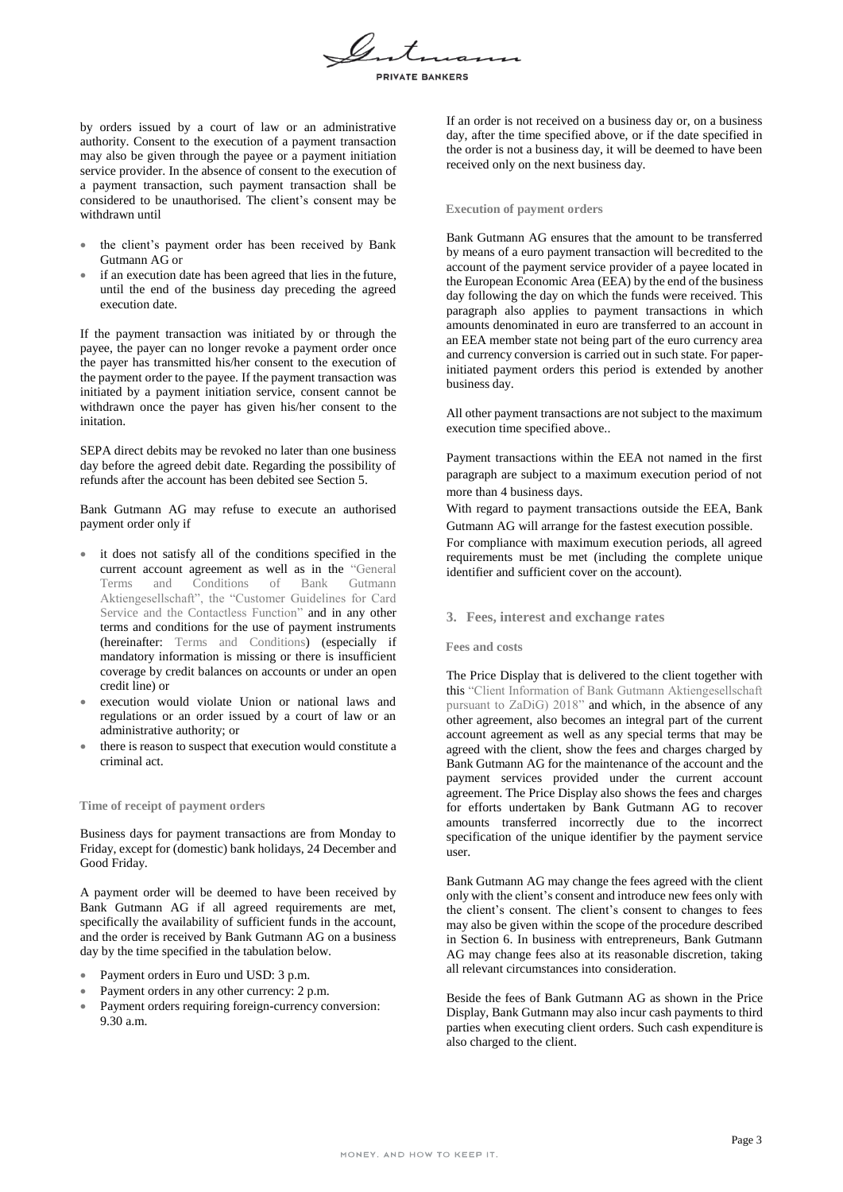

by orders issued by a court of law or an administrative authority. Consent to the execution of a payment transaction may also be given through the payee or a payment initiation service provider. In the absence of consent to the execution of a payment transaction, such payment transaction shall be considered to be unauthorised. The client's consent may be withdrawn until

- the client's payment order has been received by Bank Gutmann AG or
- if an execution date has been agreed that lies in the future, until the end of the business day preceding the agreed execution date.

If the payment transaction was initiated by or through the payee, the payer can no longer revoke a payment order once the payer has transmitted his/her consent to the execution of the payment order to the payee. If the payment transaction was initiated by a payment initiation service, consent cannot be withdrawn once the payer has given his/her consent to the initation.

SEPA direct debits may be revoked no later than one business day before the agreed debit date. Regarding the possibility of refunds after the account has been debited see Section 5.

Bank Gutmann AG may refuse to execute an authorised payment order only if

- it does not satisfy all of the conditions specified in the current account agreement as well as in the "General Terms and Conditions of Bank Gutmann Aktiengesellschaft", the "Customer Guidelines for Card Service and the Contactless Function" and in any other terms and conditions for the use of payment instruments (hereinafter: Terms and Conditions) (especially if mandatory information is missing or there is insufficient coverage by credit balances on accounts or under an open credit line) or
- execution would violate Union or national laws and regulations or an order issued by a court of law or an administrative authority; or
- there is reason to suspect that execution would constitute a criminal act.

# **Time of receipt of payment orders**

Business days for payment transactions are from Monday to Friday, except for (domestic) bank holidays, 24 December and Good Friday.

A payment order will be deemed to have been received by Bank Gutmann AG if all agreed requirements are met, specifically the availability of sufficient funds in the account, and the order is received by Bank Gutmann AG on a business day by the time specified in the tabulation below.

- Payment orders in Euro und USD: 3 p.m.
- Payment orders in any other currency: 2 p.m.
- Payment orders requiring foreign-currency conversion: 9.30 a.m.

If an order is not received on a business day or, on a business day, after the time specified above, or if the date specified in the order is not a business day, it will be deemed to have been received only on the next business day.

#### **Execution of payment orders**

Bank Gutmann AG ensures that the amount to be transferred by means of a euro payment transaction will becredited to the account of the payment service provider of a payee located in the European Economic Area (EEA) by the end of the business day following the day on which the funds were received. This paragraph also applies to payment transactions in which amounts denominated in euro are transferred to an account in an EEA member state not being part of the euro currency area and currency conversion is carried out in such state. For paperinitiated payment orders this period is extended by another business day.

All other payment transactions are not subject to the maximum execution time specified above..

Payment transactions within the EEA not named in the first paragraph are subject to a maximum execution period of not more than 4 business days.

With regard to payment transactions outside the EEA, Bank Gutmann AG will arrange for the fastest execution possible.

For compliance with maximum execution periods, all agreed requirements must be met (including the complete unique identifier and sufficient cover on the account).

#### **3. Fees, interest and exchange rates**

#### **Fees and costs**

The Price Display that is delivered to the client together with this "Client Information of Bank Gutmann Aktiengesellschaft pursuant to ZaDiG) 2018" and which, in the absence of any other agreement, also becomes an integral part of the current account agreement as well as any special terms that may be agreed with the client, show the fees and charges charged by Bank Gutmann AG for the maintenance of the account and the payment services provided under the current account agreement. The Price Display also shows the fees and charges for efforts undertaken by Bank Gutmann AG to recover amounts transferred incorrectly due to the incorrect specification of the unique identifier by the payment service user.

Bank Gutmann AG may change the fees agreed with the client only with the client's consent and introduce new fees only with the client's consent. The client's consent to changes to fees may also be given within the scope of the procedure described in Section 6. In business with entrepreneurs, Bank Gutmann AG may change fees also at its reasonable discretion, taking all relevant circumstances into consideration.

Beside the fees of Bank Gutmann AG as shown in the Price Display, Bank Gutmann may also incur cash payments to third parties when executing client orders. Such cash expenditure is also charged to the client.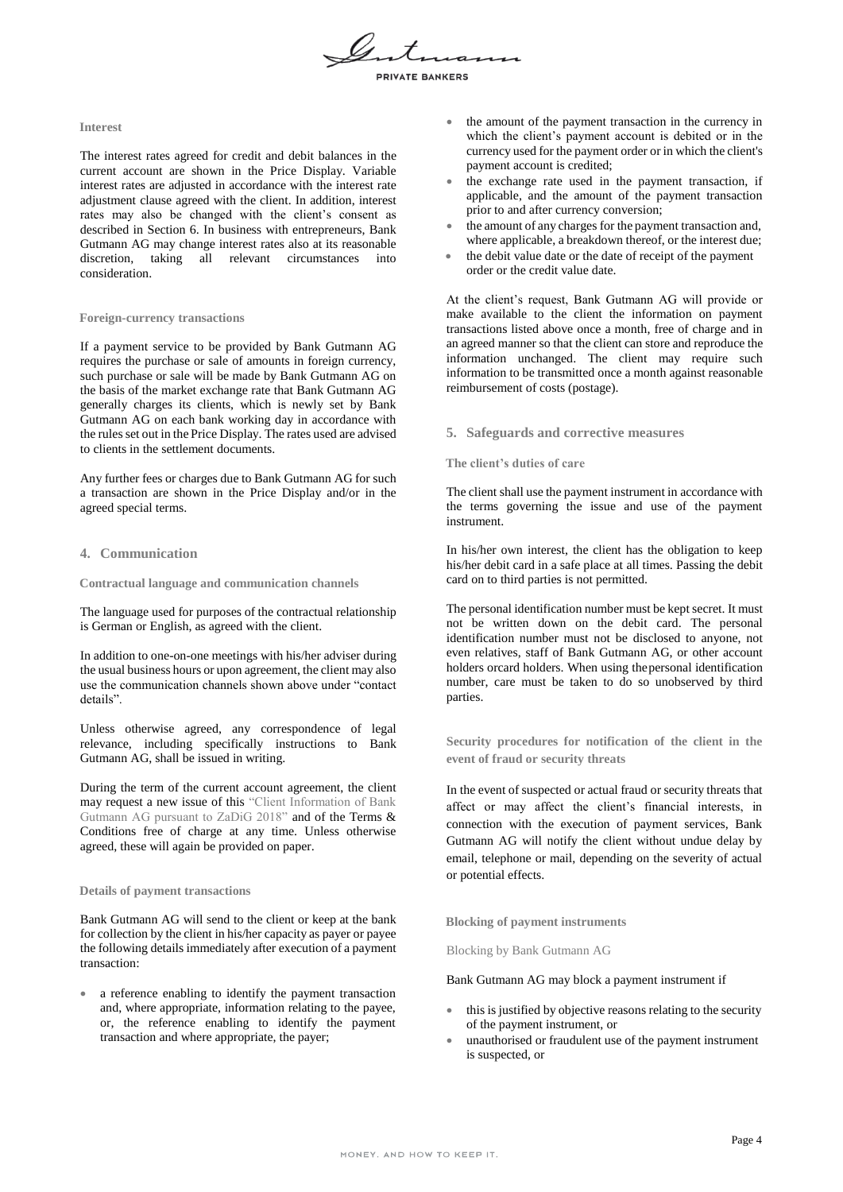

**RIVATE BANKERS** 

### **Interest**

The interest rates agreed for credit and debit balances in the current account are shown in the Price Display. Variable interest rates are adjusted in accordance with the interest rate adjustment clause agreed with the client. In addition, interest rates may also be changed with the client's consent as described in Section 6. In business with entrepreneurs, Bank Gutmann AG may change interest rates also at its reasonable discretion, taking all relevant circumstances into consideration.

# **Foreign-currency transactions**

If a payment service to be provided by Bank Gutmann AG requires the purchase or sale of amounts in foreign currency, such purchase or sale will be made by Bank Gutmann AG on the basis of the market exchange rate that Bank Gutmann AG generally charges its clients, which is newly set by Bank Gutmann AG on each bank working day in accordance with the rules set out in the Price Display. The rates used are advised to clients in the settlement documents.

Any further fees or charges due to Bank Gutmann AG for such a transaction are shown in the Price Display and/or in the agreed special terms.

# **4. Communication**

**Contractual language and communication channels**

The language used for purposes of the contractual relationship is German or English, as agreed with the client.

In addition to one-on-one meetings with his/her adviser during the usual business hours or upon agreement, the client may also use the communication channels shown above under "contact details".

Unless otherwise agreed, any correspondence of legal relevance, including specifically instructions to Bank Gutmann AG, shall be issued in writing.

During the term of the current account agreement, the client may request a new issue of this "Client Information of Bank Gutmann AG pursuant to ZaDiG 2018" and of the Terms & Conditions free of charge at any time. Unless otherwise agreed, these will again be provided on paper.

# **Details of payment transactions**

Bank Gutmann AG will send to the client or keep at the bank for collection by the client in his/her capacity as payer or payee the following details immediately after execution of a payment transaction:

 a reference enabling to identify the payment transaction and, where appropriate, information relating to the payee, or, the reference enabling to identify the payment transaction and where appropriate, the payer;

- the amount of the payment transaction in the currency in which the client's payment account is debited or in the currency used for the payment order or in which the client's payment account is credited;
- the exchange rate used in the payment transaction, if applicable, and the amount of the payment transaction prior to and after currency conversion;
- the amount of any charges for the payment transaction and, where applicable, a breakdown thereof, or the interest due;
- the debit value date or the date of receipt of the payment order or the credit value date.

At the client's request, Bank Gutmann AG will provide or make available to the client the information on payment transactions listed above once a month, free of charge and in an agreed manner so that the client can store and reproduce the information unchanged. The client may require such information to be transmitted once a month against reasonable reimbursement of costs (postage).

# **5. Safeguards and corrective measures**

### **The client's duties of care**

The client shall use the payment instrument in accordance with the terms governing the issue and use of the payment instrument.

In his/her own interest, the client has the obligation to keep his/her debit card in a safe place at all times. Passing the debit card on to third parties is not permitted.

The personal identification number must be kept secret. It must not be written down on the debit card. The personal identification number must not be disclosed to anyone, not even relatives, staff of Bank Gutmann AG, or other account holders orcard holders. When using thepersonal identification number, care must be taken to do so unobserved by third parties.

**Security procedures for notification of the client in the event of fraud or security threats**

In the event of suspected or actual fraud or security threats that affect or may affect the client's financial interests, in connection with the execution of payment services, Bank Gutmann AG will notify the client without undue delay by email, telephone or mail, depending on the severity of actual or potential effects.

**Blocking of payment instruments**

Blocking by Bank Gutmann AG

#### Bank Gutmann AG may block a payment instrument if

- this is justified by objective reasons relating to the security of the payment instrument, or
- unauthorised or fraudulent use of the payment instrument is suspected, or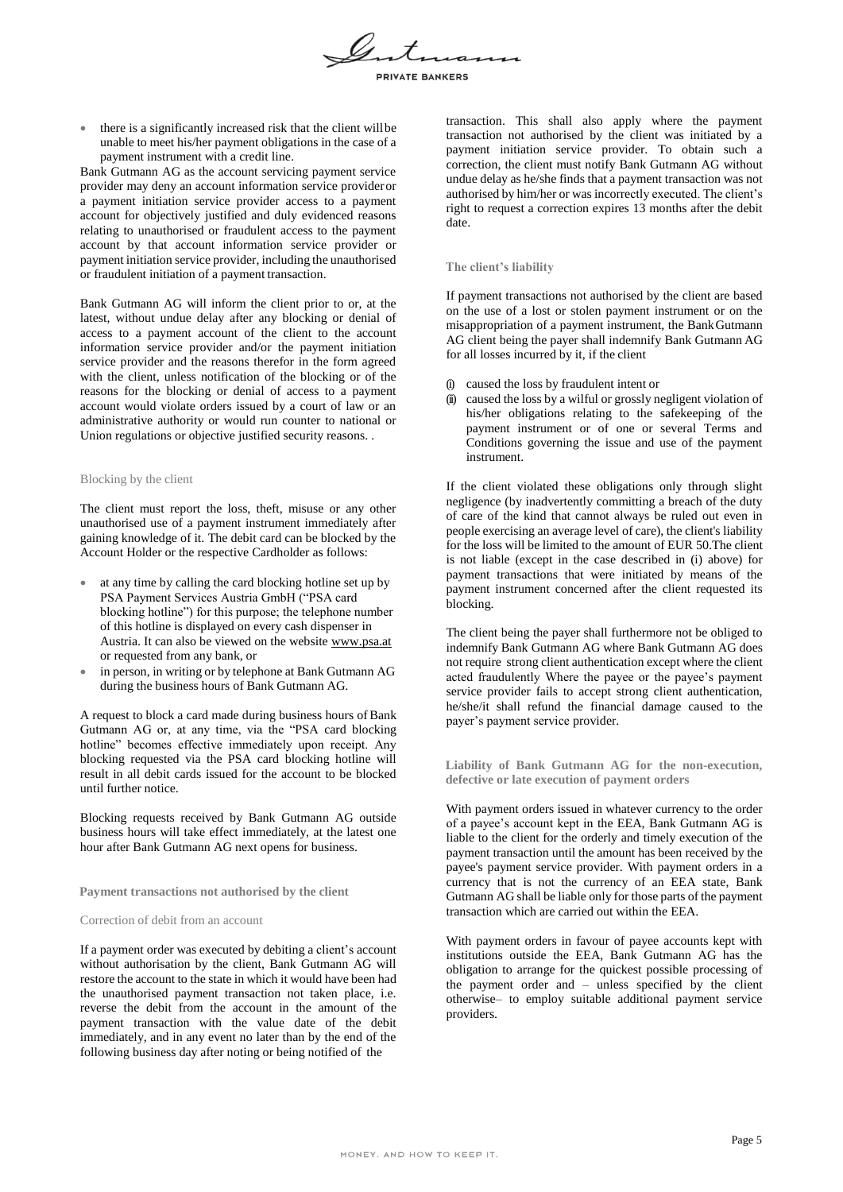

 there is a significantly increased risk that the client willbe unable to meet his/her payment obligations in the case of a payment instrument with a credit line.

Bank Gutmann AG as the account servicing payment service provider may deny an account information service provideror a payment initiation service provider access to a payment account for objectively justified and duly evidenced reasons relating to unauthorised or fraudulent access to the payment account by that account information service provider or payment initiation service provider, including the unauthorised or fraudulent initiation of a payment transaction.

Bank Gutmann AG will inform the client prior to or, at the latest, without undue delay after any blocking or denial of access to a payment account of the client to the account information service provider and/or the payment initiation service provider and the reasons therefor in the form agreed with the client, unless notification of the blocking or of the reasons for the blocking or denial of access to a payment account would violate orders issued by a court of law or an administrative authority or would run counter to national or Union regulations or objective justified security reasons. .

#### Blocking by the client

The client must report the loss, theft, misuse or any other unauthorised use of a payment instrument immediately after gaining knowledge of it. The debit card can be blocked by the Account Holder or the respective Cardholder as follows:

- at any time by calling the card blocking hotline set up by PSA Payment Services Austria GmbH ("PSA card blocking hotline") for this purpose; the telephone number of this hotline is displayed on every cash dispenser in Austria. It can also be viewed on the website [www.psa.at](http://www.psa.at/) or requested from any bank, or
- in person, in writing or by telephone at Bank Gutmann AG during the business hours of Bank Gutmann AG.

A request to block a card made during business hours of Bank Gutmann AG or, at any time, via the "PSA card blocking hotline" becomes effective immediately upon receipt. Any blocking requested via the PSA card blocking hotline will result in all debit cards issued for the account to be blocked until further notice.

Blocking requests received by Bank Gutmann AG outside business hours will take effect immediately, at the latest one hour after Bank Gutmann AG next opens for business.

**Payment transactions not authorised by the client**

#### Correction of debit from an account

If a payment order was executed by debiting a client's account without authorisation by the client, Bank Gutmann AG will restore the account to the state in which it would have been had the unauthorised payment transaction not taken place, i.e. reverse the debit from the account in the amount of the payment transaction with the value date of the debit immediately, and in any event no later than by the end of the following business day after noting or being notified of the

transaction. This shall also apply where the payment transaction not authorised by the client was initiated by a payment initiation service provider. To obtain such a correction, the client must notify Bank Gutmann AG without undue delay as he/she finds that a payment transaction was not authorised by him/her or was incorrectly executed. The client's right to request a correction expires 13 months after the debit date.

#### **The client's liability**

If payment transactions not authorised by the client are based on the use of a lost or stolen payment instrument or on the misappropriation of a payment instrument, the BankGutmann AG client being the payer shall indemnify Bank Gutmann AG for all losses incurred by it, if the client

- (i) caused the loss by fraudulent intent or
- (ii) caused the loss by a wilful or grossly negligent violation of his/her obligations relating to the safekeeping of the payment instrument or of one or several Terms and Conditions governing the issue and use of the payment instrument.

If the client violated these obligations only through slight negligence (by inadvertently committing a breach of the duty of care of the kind that cannot always be ruled out even in people exercising an average level of care), the client's liability for the loss will be limited to the amount of EUR 50.The client is not liable (except in the case described in (i) above) for payment transactions that were initiated by means of the payment instrument concerned after the client requested its blocking.

The client being the payer shall furthermore not be obliged to indemnify Bank Gutmann AG where Bank Gutmann AG does not require strong client authentication except where the client acted fraudulently Where the payee or the payee's payment service provider fails to accept strong client authentication, he/she/it shall refund the financial damage caused to the payer's payment service provider.

**Liability of Bank Gutmann AG for the non-execution, defective or late execution of payment orders**

With payment orders issued in whatever currency to the order of a payee's account kept in the EEA, Bank Gutmann AG is liable to the client for the orderly and timely execution of the payment transaction until the amount has been received by the payee's payment service provider. With payment orders in a currency that is not the currency of an EEA state, Bank Gutmann AG shall be liable only for those parts of the payment transaction which are carried out within the EEA.

With payment orders in favour of payee accounts kept with institutions outside the EEA, Bank Gutmann AG has the obligation to arrange for the quickest possible processing of the payment order and – unless specified by the client otherwise– to employ suitable additional payment service providers.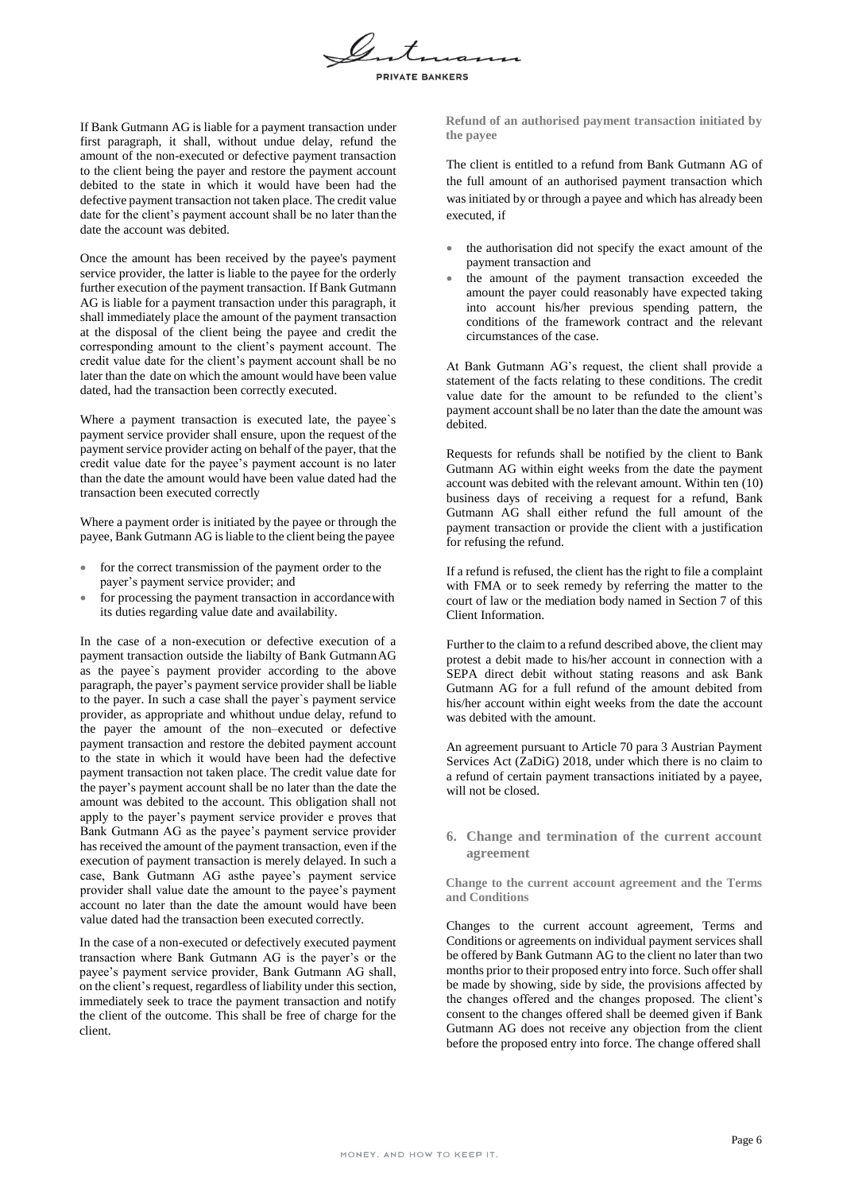

If Bank Gutmann AG is liable for a payment transaction under first paragraph, it shall, without undue delay, refund the amount of the non-executed or defective payment transaction to the client being the payer and restore the payment account debited to the state in which it would have been had the defective payment transaction not taken place. The credit value date for the client's payment account shall be no later than the date the account was debited.

Once the amount has been received by the payee's payment service provider, the latter is liable to the payee for the orderly further execution of the payment transaction. If Bank Gutmann AG is liable for a payment transaction under this paragraph, it shall immediately place the amount of the payment transaction at the disposal of the client being the payee and credit the corresponding amount to the client's payment account. The credit value date for the client's payment account shall be no later than the date on which the amount would have been value dated, had the transaction been correctly executed.

Where a payment transaction is executed late, the payee`s payment service provider shall ensure, upon the request of the payment service provider acting on behalf of the payer, that the credit value date for the payee's payment account is no later than the date the amount would have been value dated had the transaction been executed correctly

Where a payment order is initiated by the payee or through the payee, Bank Gutmann AG isliable to the client being the payee

- for the correct transmission of the payment order to the payer's payment service provider; and
- for processing the payment transaction in accordancewith its duties regarding value date and availability.

In the case of a non-execution or defective execution of a payment transaction outside the liabilty of Bank GutmannAG as the payee`s payment provider according to the above paragraph, the payer's payment service provider shall be liable to the payer. In such a case shall the payer`s payment service provider, as appropriate and whithout undue delay, refund to the payer the amount of the non–executed or defective payment transaction and restore the debited payment account to the state in which it would have been had the defective payment transaction not taken place. The credit value date for the payer's payment account shall be no later than the date the amount was debited to the account. This obligation shall not apply to the payer's payment service provider e proves that Bank Gutmann AG as the payee's payment service provider has received the amount of the payment transaction, even if the execution of payment transaction is merely delayed. In such a case, Bank Gutmann AG asthe payee's payment service provider shall value date the amount to the payee's payment account no later than the date the amount would have been value dated had the transaction been executed correctly.

In the case of a non-executed or defectively executed payment transaction where Bank Gutmann AG is the payer's or the payee's payment service provider, Bank Gutmann AG shall, on the client's request, regardless of liability under this section, immediately seek to trace the payment transaction and notify the client of the outcome. This shall be free of charge for the client.

**Refund of an authorised payment transaction initiated by the payee**

The client is entitled to a refund from Bank Gutmann AG of the full amount of an authorised payment transaction which was initiated by or through a payee and which has already been executed, if

- the authorisation did not specify the exact amount of the payment transaction and
- the amount of the payment transaction exceeded the amount the payer could reasonably have expected taking into account his/her previous spending pattern, the conditions of the framework contract and the relevant circumstances of the case.

At Bank Gutmann AG's request, the client shall provide a statement of the facts relating to these conditions. The credit value date for the amount to be refunded to the client's payment account shall be no later than the date the amount was debited.

Requests for refunds shall be notified by the client to Bank Gutmann AG within eight weeks from the date the payment account was debited with the relevant amount. Within ten (10) business days of receiving a request for a refund, Bank Gutmann AG shall either refund the full amount of the payment transaction or provide the client with a justification for refusing the refund.

If a refund is refused, the client has the right to file a complaint with FMA or to seek remedy by referring the matter to the court of law or the mediation body named in Section 7 of this Client Information.

Further to the claim to a refund described above, the client may protest a debit made to his/her account in connection with a SEPA direct debit without stating reasons and ask Bank Gutmann AG for a full refund of the amount debited from his/her account within eight weeks from the date the account was debited with the amount.

An agreement pursuant to Article 70 para 3 Austrian Payment Services Act (ZaDiG) 2018, under which there is no claim to a refund of certain payment transactions initiated by a payee, will not be closed.

**6. Change and termination of the current account agreement**

**Change to the current account agreement and the Terms and Conditions**

Changes to the current account agreement, Terms and Conditions or agreements on individual payment services shall be offered by Bank Gutmann AG to the client no later than two months prior to their proposed entry into force. Such offershall be made by showing, side by side, the provisions affected by the changes offered and the changes proposed. The client's consent to the changes offered shall be deemed given if Bank Gutmann AG does not receive any objection from the client before the proposed entry into force. The change offered shall